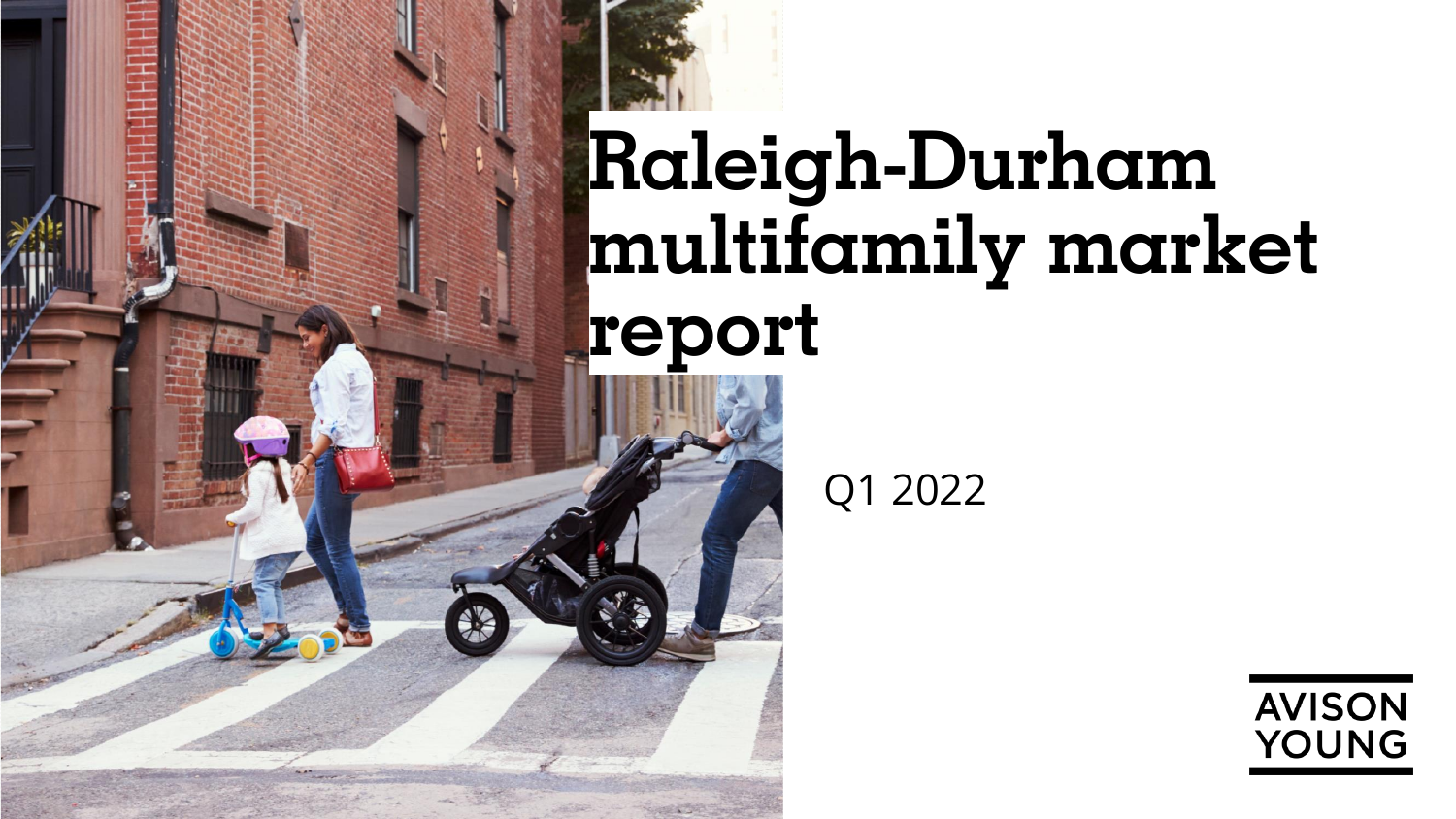## **Raleigh-Durham multifamily market report**

Q1 2022

sources which we deem reliable and, while thought to be correct, is not guaranteed by Avison Young.

page 1 Raleigh-Durham multifamily market report in the information of the information of the information contained from the information contained from the information contained from the information contained from the infor

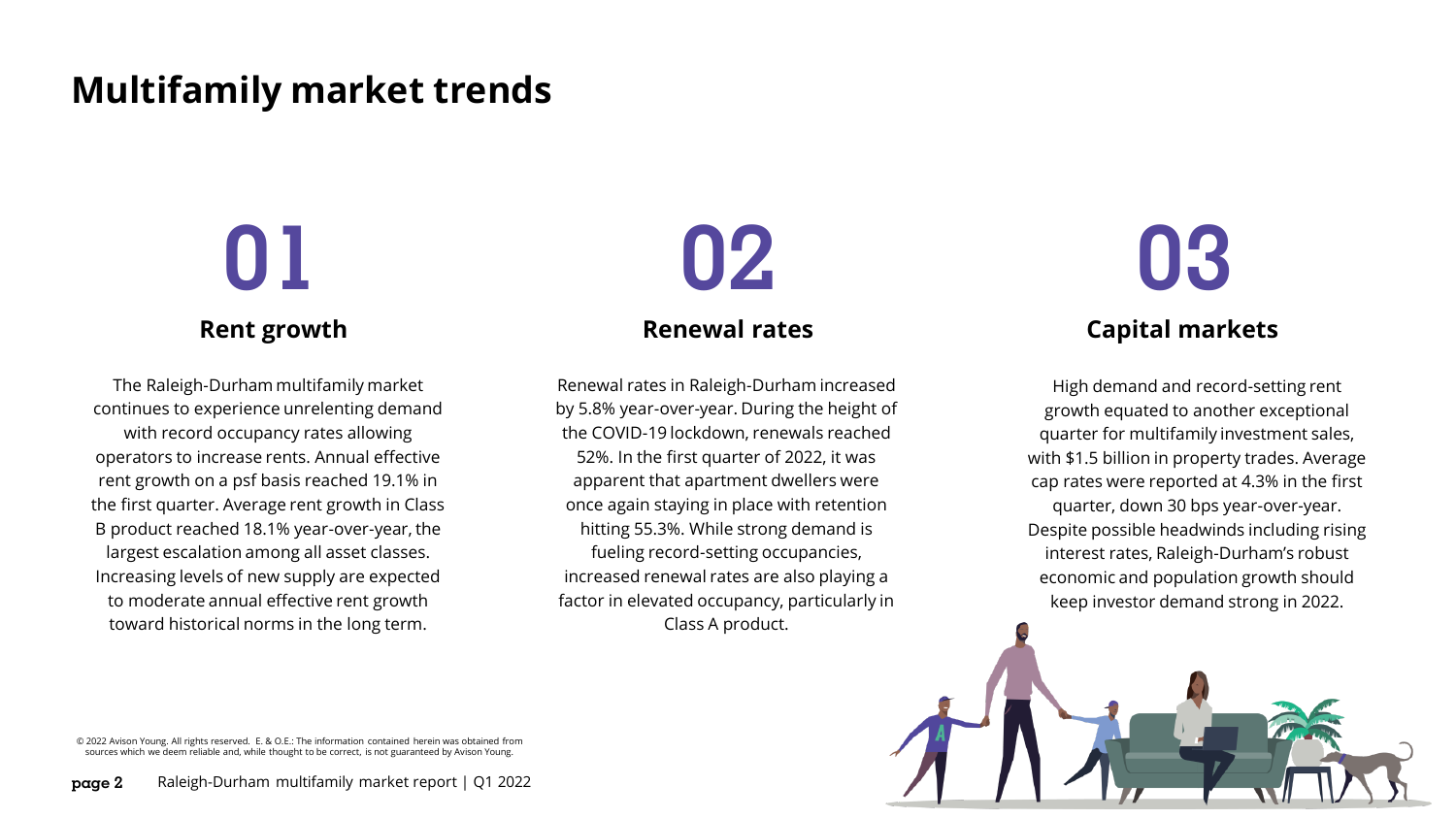## **Multifamily market trends**

### **Rent growth**

The Raleigh-Durham multifamily market continues to experience unrelenting demand with record occupancy rates allowing operators to increase rents. Annual effective rent growth on a psf basis reached 19.1% in the first quarter. Average rent growth in Class B product reached 18.1% year-over-year, the largest escalation among all asset classes. Increasing levels of new supply are expected to moderate annual effective rent growth toward historical norms in the long term.

### **Renewal rates**

Renewal rates in Raleigh-Durham increased by 5.8% year-over-year. During the height of the COVID-19 lockdown, renewals reached 52%. In the first quarter of 2022, it was apparent that apartment dwellers were once again staying in place with retention hitting 55.3%. While strong demand is fueling record-setting occupancies, increased renewal rates are also playing a factor in elevated occupancy, particularly in Class A product.

# **01 02 03**

### **Capital markets**

High demand and record-setting rent growth equated to another exceptional quarter for multifamily investment sales, with \$1.5 billion in property trades. Average cap rates were reported at 4.3% in the first quarter, down 30 bps year-over-year. Despite possible headwinds including rising interest rates, Raleigh-Durham's robust economic and population growth should keep investor demand strong in 2022.



© 2022 Avison Young. All rights reserved. E. & O.E.: The information contained herein was obtained from sources which we deem reliable and, while thought to be correct, is not guaranteed by Avison Young.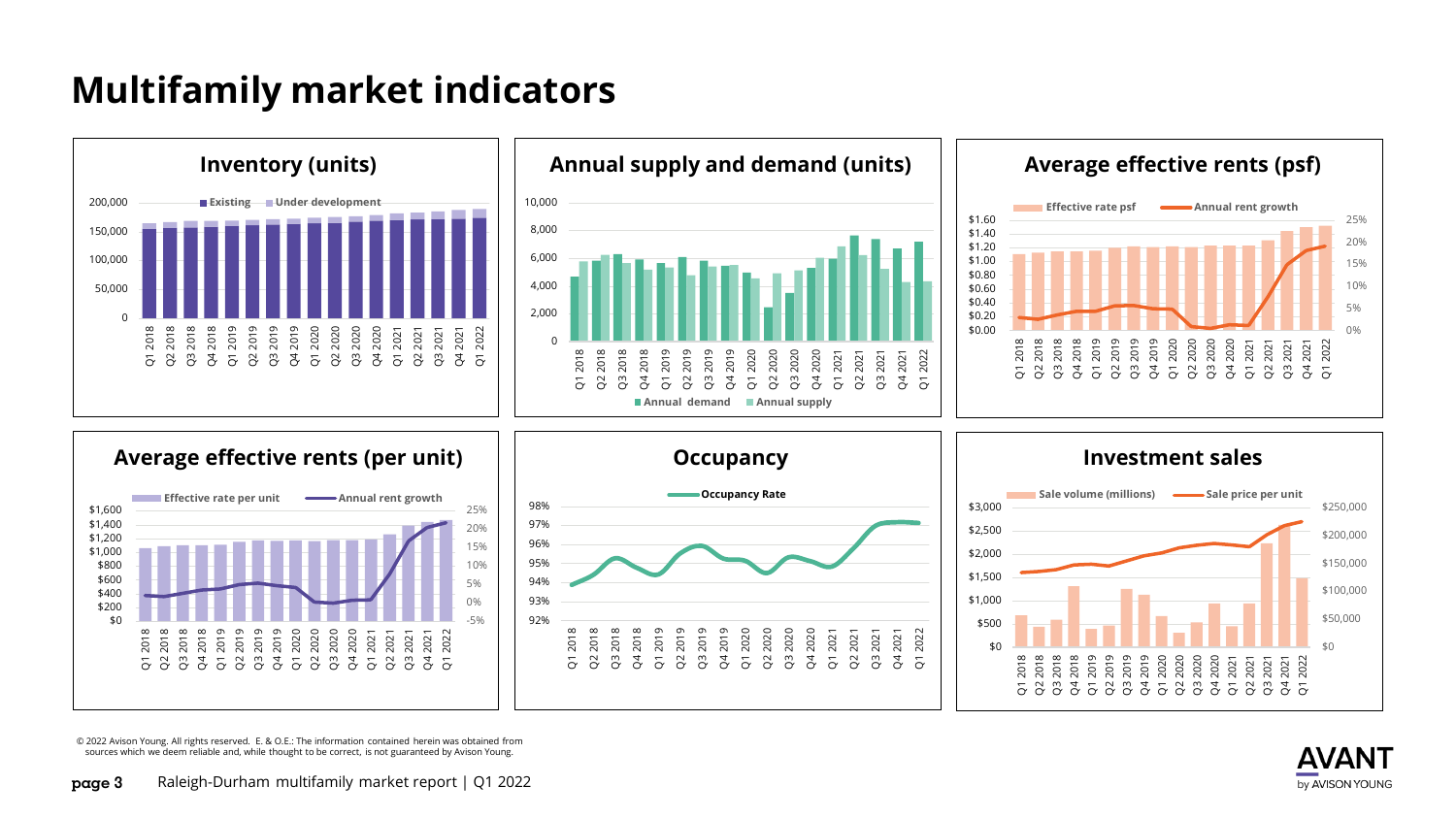## **Multifamily market indicators**



© 2022 Avison Young. All rights reserved. E. & O.E.: The information contained herein was obtained from sources which we deem reliable and, while thought to be correct, is not guaranteed by Avison Young.

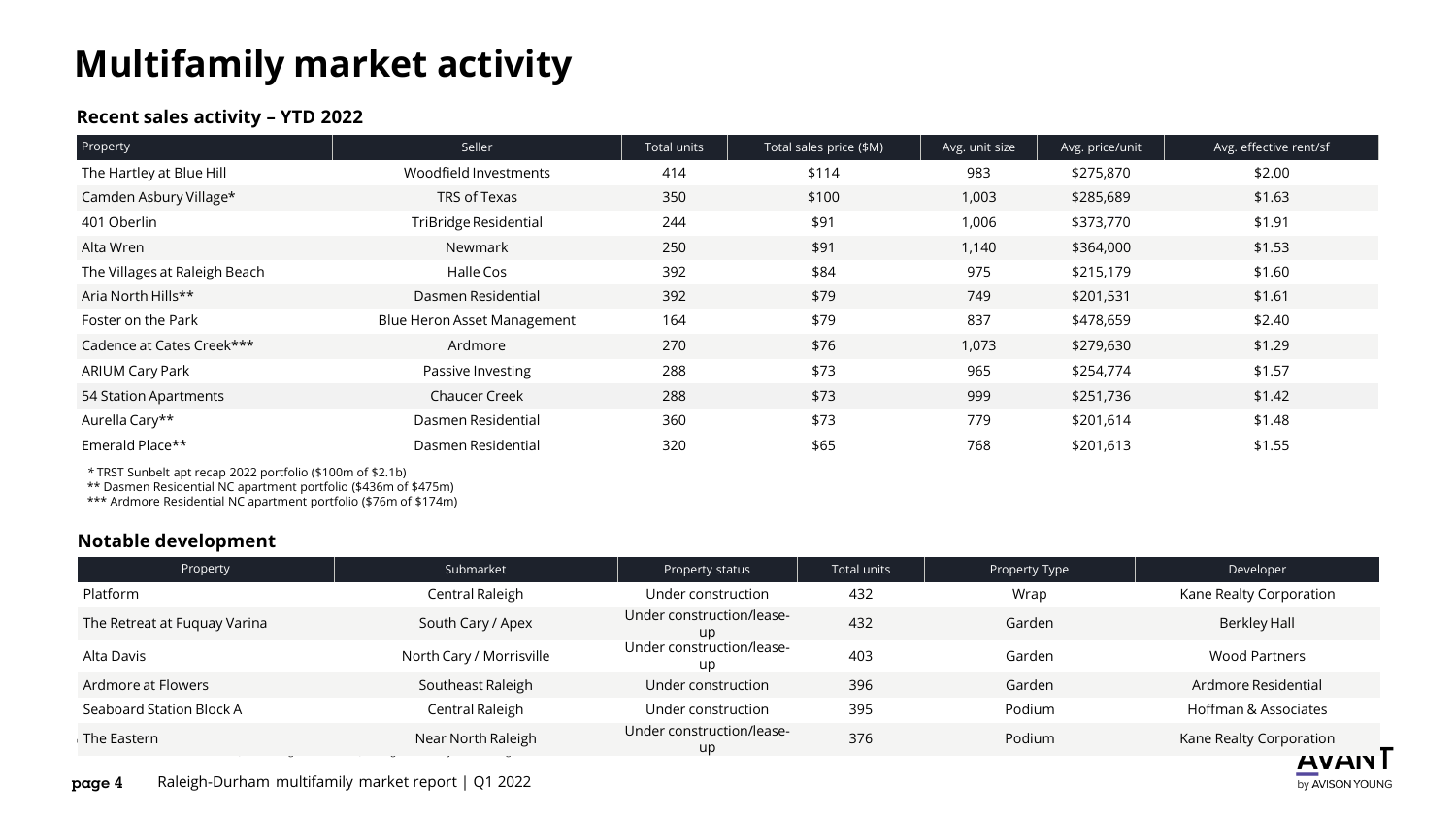## **Multifamily market activity**

#### **Recent sales activity – YTD 2022**

| Property                      | Seller                      | Total units | Total sales price (\$M) | Avg. unit size | Avg. price/unit | Avg. effective rent/sf |
|-------------------------------|-----------------------------|-------------|-------------------------|----------------|-----------------|------------------------|
| The Hartley at Blue Hill      | Woodfield Investments       | 414         | \$114                   | 983            | \$275,870       | \$2.00                 |
| Camden Asbury Village*        | TRS of Texas                | 350         | \$100                   | 1,003          | \$285,689       | \$1.63                 |
| 401 Oberlin                   | TriBridge Residential       | 244         | \$91                    | 1,006          | \$373,770       | \$1.91                 |
| Alta Wren                     | Newmark                     | 250         | \$91                    | 1,140          | \$364,000       | \$1.53                 |
| The Villages at Raleigh Beach | Halle Cos                   | 392         | \$84                    | 975            | \$215,179       | \$1.60                 |
| Aria North Hills**            | Dasmen Residential          | 392         | \$79                    | 749            | \$201,531       | \$1.61                 |
| Foster on the Park            | Blue Heron Asset Management | 164         | \$79                    | 837            | \$478,659       | \$2.40                 |
| Cadence at Cates Creek***     | Ardmore                     | 270         | \$76                    | 1,073          | \$279,630       | \$1.29                 |
| <b>ARIUM Cary Park</b>        | Passive Investing           | 288         | \$73                    | 965            | \$254,774       | \$1.57                 |
| 54 Station Apartments         | <b>Chaucer Creek</b>        | 288         | \$73                    | 999            | \$251,736       | \$1.42                 |
| Aurella Cary**                | Dasmen Residential          | 360         | \$73                    | 779            | \$201,614       | \$1.48                 |
| Emerald Place**               | Dasmen Residential          | 320         | \$65                    | 768            | \$201,613       | \$1.55                 |

*\** TRST Sunbelt apt recap 2022 portfolio (\$100m of \$2.1b)

\*\* Dasmen Residential NC apartment portfolio (\$436m of \$475m)

\*\*\* Ardmore Residential NC apartment portfolio (\$76m of \$174m)

#### **Notable development**

| Property                     | Submarket                | Property status                        | Total units | Property Type | Developer                                       |
|------------------------------|--------------------------|----------------------------------------|-------------|---------------|-------------------------------------------------|
| Platform                     | Central Raleigh          | Under construction                     | 432         | Wrap          | Kane Realty Corporation                         |
| The Retreat at Fuquay Varina | South Cary / Apex        | Under construction/lease-<br>up        | 432         | Garden        | Berkley Hall                                    |
| Alta Davis                   | North Cary / Morrisville | Under construction/lease-<br><b>up</b> | 403         | Garden        | <b>Wood Partners</b>                            |
| Ardmore at Flowers           | Southeast Raleigh        | Under construction                     | 396         | Garden        | Ardmore Residential                             |
| Seaboard Station Block A     | Central Raleigh          | Under construction                     | 395         | Podium        | Hoffman & Associates                            |
| The Eastern                  | Near North Raleigh       | Under construction/lease-<br>up        | 376         | Podium        | Kane Realty Corporation<br><i><b>IMPLEM</b></i> |

by AVISON YOUNG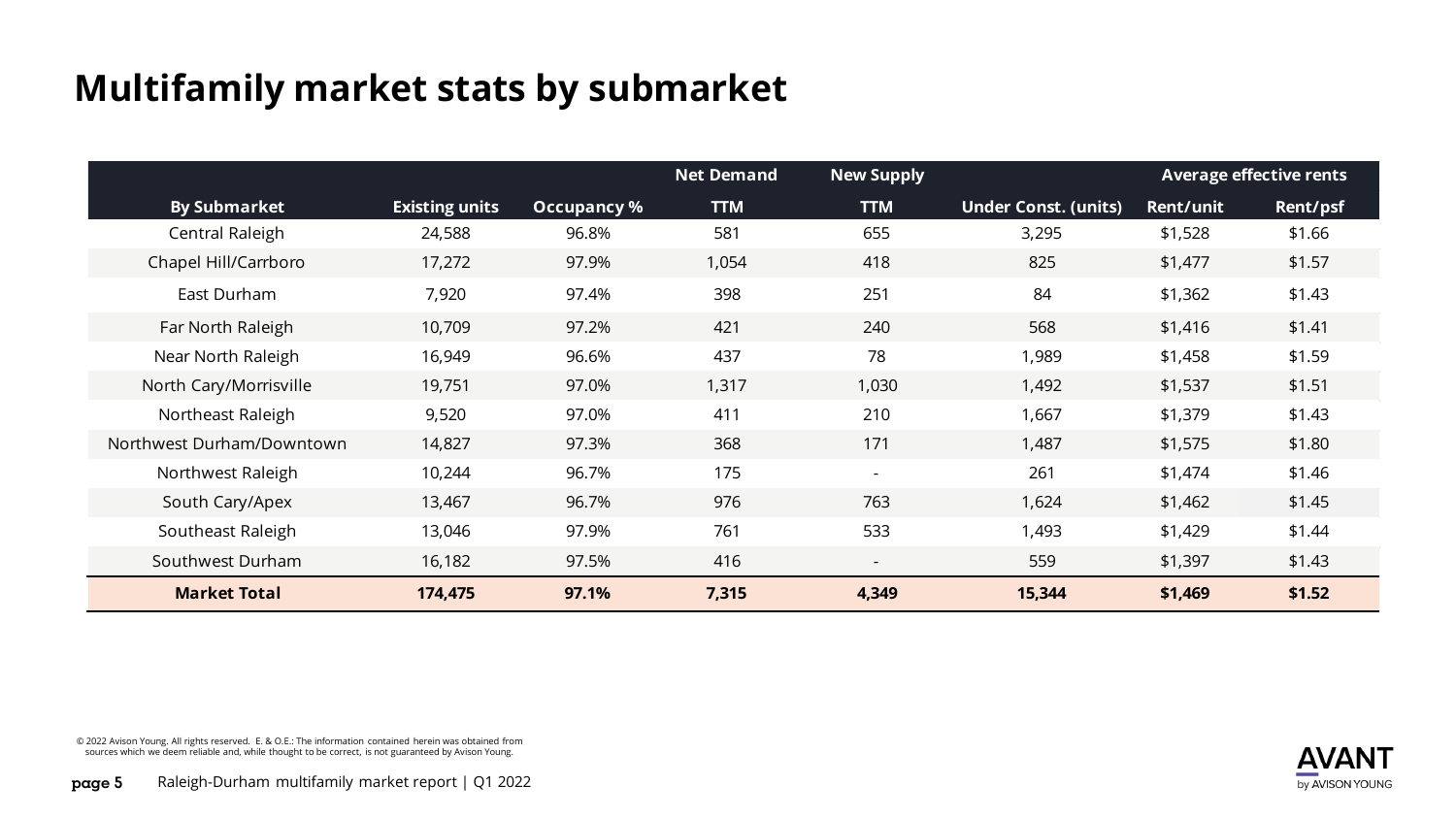## **Multifamily market stats by submarket**

|                           |                       |                    | <b>Net Demand</b> | <b>New Supply</b>        |                             | <b>Average effective rents</b> |          |  |
|---------------------------|-----------------------|--------------------|-------------------|--------------------------|-----------------------------|--------------------------------|----------|--|
| <b>By Submarket</b>       | <b>Existing units</b> | <b>Occupancy</b> % | <b>TTM</b>        | <b>TTM</b>               | <b>Under Const. (units)</b> | Rent/unit                      | Rent/psf |  |
| Central Raleigh           | 24,588                | 96.8%              | 581               | 655                      | 3,295                       | \$1,528                        | \$1.66   |  |
| Chapel Hill/Carrboro      | 17,272                | 97.9%              | 1,054             | 418                      | 825                         | \$1,477                        | \$1.57   |  |
| East Durham               | 7,920                 | 97.4%              | 398               | 251                      | 84                          | \$1,362                        | \$1.43   |  |
| Far North Raleigh         | 10,709                | 97.2%              | 421               | 240                      | 568                         | \$1,416                        | \$1.41   |  |
| Near North Raleigh        | 16,949                | 96.6%              | 437               | 78                       | 1,989                       | \$1,458                        | \$1.59   |  |
| North Cary/Morrisville    | 19,751                | 97.0%              | 1,317             | 1,030                    | 1,492                       | \$1,537                        | \$1.51   |  |
| Northeast Raleigh         | 9,520                 | 97.0%              | 411               | 210                      | 1,667                       | \$1,379                        | \$1.43   |  |
| Northwest Durham/Downtown | 14,827                | 97.3%              | 368               | 171                      | 1,487                       | \$1,575                        | \$1.80   |  |
| Northwest Raleigh         | 10,244                | 96.7%              | 175               | $\overline{\phantom{a}}$ | 261                         | \$1,474                        | \$1.46   |  |
| South Cary/Apex           | 13,467                | 96.7%              | 976               | 763                      | 1,624                       | \$1,462                        | \$1.45   |  |
| Southeast Raleigh         | 13,046                | 97.9%              | 761               | 533                      | 1,493                       | \$1,429                        | \$1.44   |  |
| Southwest Durham          | 16,182                | 97.5%              | 416               | $\overline{\phantom{a}}$ | 559                         | \$1,397                        | \$1.43   |  |
| <b>Market Total</b>       | 174,475               | 97.1%              | 7,315             | 4,349                    | 15,344                      | \$1,469                        | \$1.52   |  |

© 2022 Avison Young. All rights reserved. E. & O.E.: The information contained herein was obtained from sources which we deem reliable and, while thought to be correct, is not guaranteed by Avison Young.